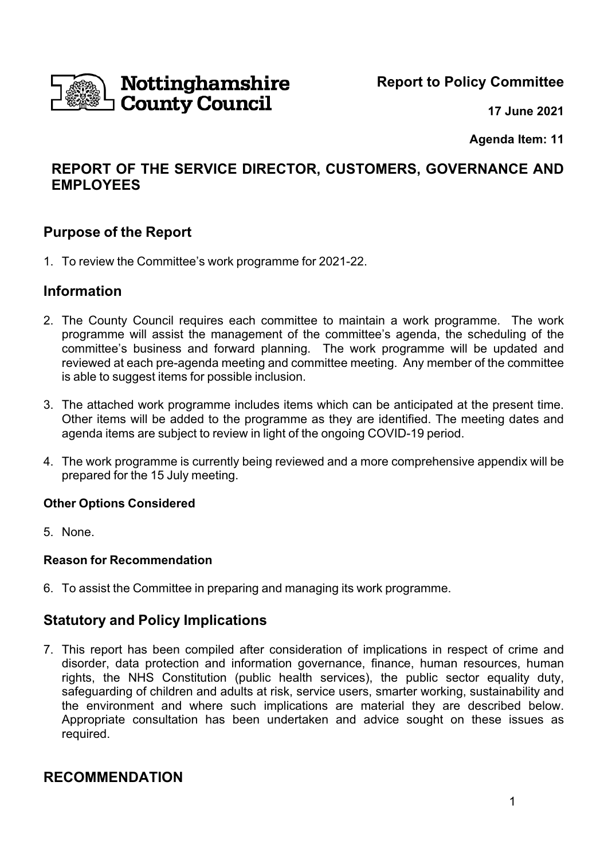Nottinghamshire **County Council** 

**Report to Policy Committee**

 **17 June 2021**

**Agenda Item: 11**

# **REPORT OF THE SERVICE DIRECTOR, CUSTOMERS, GOVERNANCE AND EMPLOYEES**

## **Purpose of the Report**

1. To review the Committee's work programme for 2021-22.

## **Information**

- 2. The County Council requires each committee to maintain a work programme. The work programme will assist the management of the committee's agenda, the scheduling of the committee's business and forward planning. The work programme will be updated and reviewed at each pre-agenda meeting and committee meeting. Any member of the committee is able to suggest items for possible inclusion.
- 3. The attached work programme includes items which can be anticipated at the present time. Other items will be added to the programme as they are identified. The meeting dates and agenda items are subject to review in light of the ongoing COVID-19 period.
- 4. The work programme is currently being reviewed and a more comprehensive appendix will be prepared for the 15 July meeting.

## **Other Options Considered**

5. None.

## **Reason for Recommendation**

6. To assist the Committee in preparing and managing its work programme.

## **Statutory and Policy Implications**

7. This report has been compiled after consideration of implications in respect of crime and disorder, data protection and information governance, finance, human resources, human rights, the NHS Constitution (public health services), the public sector equality duty, safeguarding of children and adults at risk, service users, smarter working, sustainability and the environment and where such implications are material they are described below. Appropriate consultation has been undertaken and advice sought on these issues as required.

## **RECOMMENDATION**